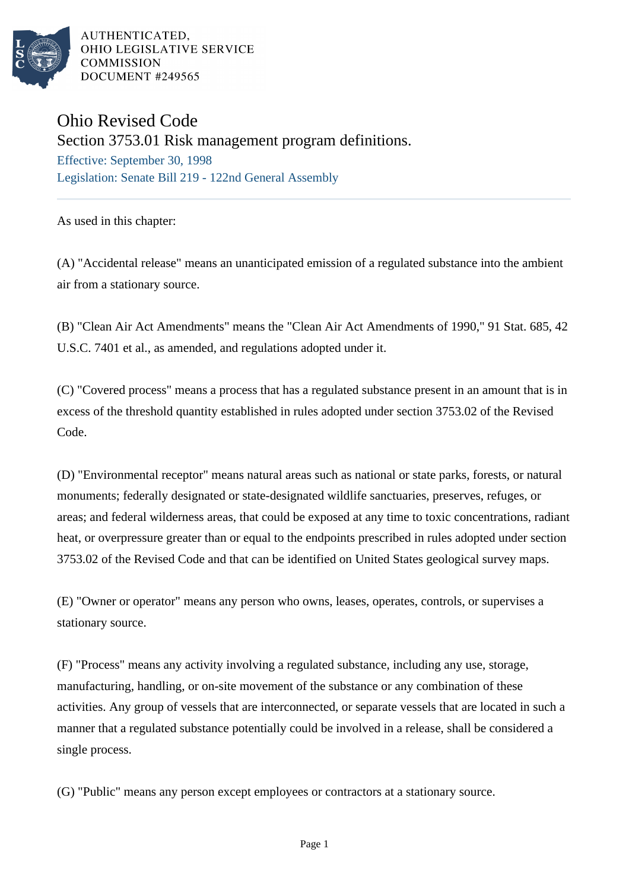

AUTHENTICATED, OHIO LEGISLATIVE SERVICE **COMMISSION** DOCUMENT #249565

## Ohio Revised Code

Section 3753.01 Risk management program definitions.

Effective: September 30, 1998 Legislation: Senate Bill 219 - 122nd General Assembly

As used in this chapter:

(A) "Accidental release" means an unanticipated emission of a regulated substance into the ambient air from a stationary source.

(B) "Clean Air Act Amendments" means the "Clean Air Act Amendments of 1990," 91 Stat. 685, 42 U.S.C. 7401 et al., as amended, and regulations adopted under it.

(C) "Covered process" means a process that has a regulated substance present in an amount that is in excess of the threshold quantity established in rules adopted under section 3753.02 of the Revised Code.

(D) "Environmental receptor" means natural areas such as national or state parks, forests, or natural monuments; federally designated or state-designated wildlife sanctuaries, preserves, refuges, or areas; and federal wilderness areas, that could be exposed at any time to toxic concentrations, radiant heat, or overpressure greater than or equal to the endpoints prescribed in rules adopted under section 3753.02 of the Revised Code and that can be identified on United States geological survey maps.

(E) "Owner or operator" means any person who owns, leases, operates, controls, or supervises a stationary source.

(F) "Process" means any activity involving a regulated substance, including any use, storage, manufacturing, handling, or on-site movement of the substance or any combination of these activities. Any group of vessels that are interconnected, or separate vessels that are located in such a manner that a regulated substance potentially could be involved in a release, shall be considered a single process.

(G) "Public" means any person except employees or contractors at a stationary source.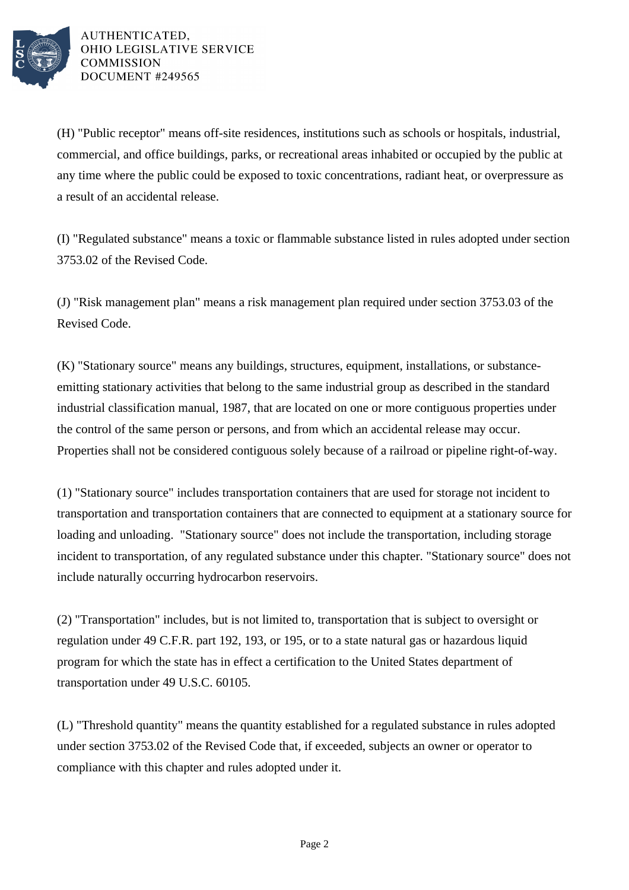

AUTHENTICATED. OHIO LEGISLATIVE SERVICE **COMMISSION** DOCUMENT #249565

(H) "Public receptor" means off-site residences, institutions such as schools or hospitals, industrial, commercial, and office buildings, parks, or recreational areas inhabited or occupied by the public at any time where the public could be exposed to toxic concentrations, radiant heat, or overpressure as a result of an accidental release.

(I) "Regulated substance" means a toxic or flammable substance listed in rules adopted under section 3753.02 of the Revised Code.

(J) "Risk management plan" means a risk management plan required under section 3753.03 of the Revised Code.

(K) "Stationary source" means any buildings, structures, equipment, installations, or substanceemitting stationary activities that belong to the same industrial group as described in the standard industrial classification manual, 1987, that are located on one or more contiguous properties under the control of the same person or persons, and from which an accidental release may occur. Properties shall not be considered contiguous solely because of a railroad or pipeline right-of-way.

(1) "Stationary source" includes transportation containers that are used for storage not incident to transportation and transportation containers that are connected to equipment at a stationary source for loading and unloading. "Stationary source" does not include the transportation, including storage incident to transportation, of any regulated substance under this chapter. "Stationary source" does not include naturally occurring hydrocarbon reservoirs.

(2) "Transportation" includes, but is not limited to, transportation that is subject to oversight or regulation under 49 C.F.R. part 192, 193, or 195, or to a state natural gas or hazardous liquid program for which the state has in effect a certification to the United States department of transportation under 49 U.S.C. 60105.

(L) "Threshold quantity" means the quantity established for a regulated substance in rules adopted under section 3753.02 of the Revised Code that, if exceeded, subjects an owner or operator to compliance with this chapter and rules adopted under it.